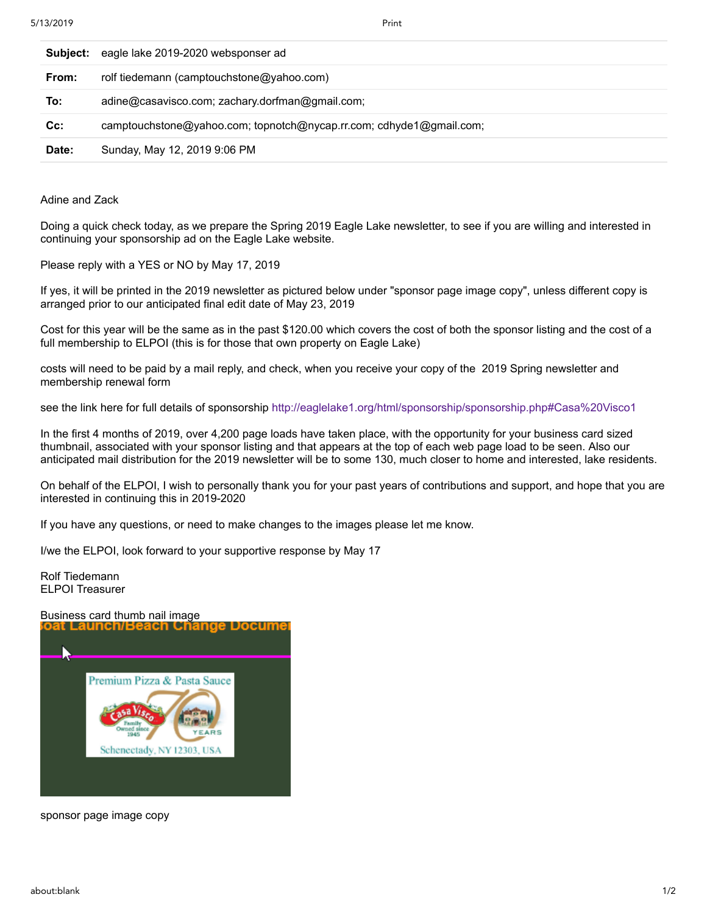| Subject: | eagle lake 2019-2020 websponser ad                                  |
|----------|---------------------------------------------------------------------|
| From:    | rolf tiedemann (camptouchstone@yahoo.com)                           |
| To:      | adine@casavisco.com; zachary.dorfman@gmail.com;                     |
| $Cc$ :   | camptouchstone@yahoo.com; topnotch@nycap.rr.com; cdhyde1@gmail.com; |
| Date:    | Sunday, May 12, 2019 9:06 PM                                        |

Adine and Zack

Doing a quick check today, as we prepare the Spring 2019 Eagle Lake newsletter, to see if you are willing and interested in continuing your sponsorship ad on the Eagle Lake website.

Please reply with a YES or NO by May 17, 2019

If yes, it will be printed in the 2019 newsletter as pictured below under "sponsor page image copy", unless different copy is arranged prior to our anticipated final edit date of May 23, 2019

Cost for this year will be the same as in the past \$120.00 which covers the cost of both the sponsor listing and the cost of a full membership to ELPOI (this is for those that own property on Eagle Lake)

costs will need to be paid by a mail reply, and check, when you receive your copy of the 2019 Spring newsletter and membership renewal form

see the link here for full details of sponsorship<http://eaglelake1.org/html/sponsorship/sponsorship.php#Casa%20Visco1>

In the first 4 months of 2019, over 4,200 page loads have taken place, with the opportunity for your business card sized thumbnail, associated with your sponsor listing and that appears at the top of each web page load to be seen. Also our anticipated mail distribution for the 2019 newsletter will be to some 130, much closer to home and interested, lake residents.

On behalf of the ELPOI, I wish to personally thank you for your past years of contributions and support, and hope that you are interested in continuing this in 2019-2020

If you have any questions, or need to make changes to the images please let me know.

I/we the ELPOI, look forward to your supportive response by May 17

Rolf Tiedemann ELPOI Treasurer



sponsor page image copy